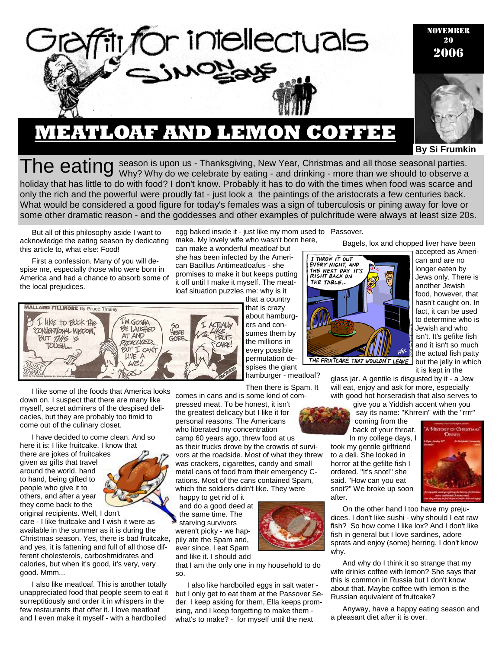

The eating season is upon us - Thanksgiving, New Year, Christmas and all those seasonal parties.<br>The eating why? Why do we celebrate by eating - and drinking - more than we should to observe a holiday that has little to do with food? I don't know. Probably it has to do with the times when food was scarce and only the rich and the powerful were proudly fat - just look a the paintings of the aristocrats a few centuries back. What would be considered a good figure for today's females was a sign of tuberculosis or pining away for love or some other dramatic reason - and the goddesses and other examples of pulchritude were always at least size 20s.

But all of this philosophy aside I want to acknowledge the eating season by dedicating this article to, what else: Food!

First a confession. Many of you will despise me, especially those who were born in America and had a chance to absorb some of the local prejudices.

egg baked inside it - just like my mom used to Passover.

make. My lovely wife who wasn't born here, can make a wonderful meatloaf but she has been infected by the American Bacillus Antimeatloafus - she promises to make it but keeps putting it off until I make it myself. The meatloaf situation puzzles me: why is it

that a country that is crazy about hamburgers and consumes them by the millions in every possible permutation despises the giant

Then there is Spam. It

comes in cans and is some kind of compressed meat. To be honest, it isn't the greatest delicacy but I like it for personal reasons. The Americans who liberated my concentration

camp 60 years ago, threw food at us as their trucks drove by the crowds of survivors at the roadside. Most of what they threw was crackers, cigarettes, candy and small metal cans of food from their emergency Crations. Most of the cans contained Spam, which the soldiers didn't like. They were

happy to get rid of it and do a good deed at the same time. The starving survivors weren't picky - we happily ate the Spam and, ever since, I eat Spam and like it. I should add

that I am the only one in my household to do so.

I also like hardboiled eggs in salt water but I only get to eat them at the Passover Seder. I keep asking for them, Ella keeps promising, and I keep forgetting to make them what's to make? - for myself until the next



back of your throat. In my college days, I took my gentile girlfriend to a deli. She looked in horror at the gefilte fish I ordered. "It's snot!" she

> On the other hand I too have my prejudices. I don't like sushi - why should I eat raw fish? So how come I like lox? And I don't like fish in general but I love sardines, adore sprats and enjoy (some) herring. I don't know why.

will eat, enjoy and ask for more, especially with good hot horseradish that also serves to give you a Yiddish accent when you say its name: "Khrrein" with the "rrrr"

coming from the

said. "How can you eat snot?" We broke up soon

And why do I think it so strange that my wife drinks coffee with lemon? She says that this is common in Russia but I don't know about that. Maybe coffee with lemon is the Russian equivalent of fruitcake?

Anyway, have a happy eating season and a pleasant diet after it is over.



THE NEXT DAY IT'S **RIGHT BACK ON** THE TABLE...

I THROW IT OUT EVERY NIGHT, AND

can and are no longer eaten by Jews only. There is another Jewish food, however, that hasn't caught on. In fact, it can be used to determine who is Jewish and who isn't. It's gefilte fish and it isn't so much the actual fish patty but the jelly in which it is kept in the

accepted as Ameri-

Bagels, lox and chopped liver have been

**MALLARD FILLMORE** By Bruce Tinsley I'M GONNA I like to BUCK THE **BE LAUGHED** 50 CONVENTIONAL WISTOM, HERE **RIDICULED,** BUT I CAN'T LIVE A  $\approx$ hamburger - meatloaf?

I like some of the foods that America looks down on. I suspect that there are many like myself, secret admirers of the despised delicacies, but they are probably too timid to come out of the culinary closet.

I have decided to come clean. And so here it is: I like fruitcake. I know that

there are jokes of fruitcakes given as gifts that travel around the world, hand to hand, being gifted to people who give it to others, and after a year they come back to the original recipients. Well, I don't

 $BUT$   $THIS$   $IS$ 

TOUGH

care - I like fruitcake and I wish it were as available in the summer as it is during the Christmas season. Yes, there is bad fruitcake, and yes, it is fattening and full of all those different cholesterols, carboshmidrates and calories, but when it's good, it's very, very good. Mmm...

I also like meatloaf. This is another totally unappreciated food that people seem to eat it surreptitiously and order it in whispers in the few restaurants that offer it. I love meatloaf and I even make it myself - with a hardboiled



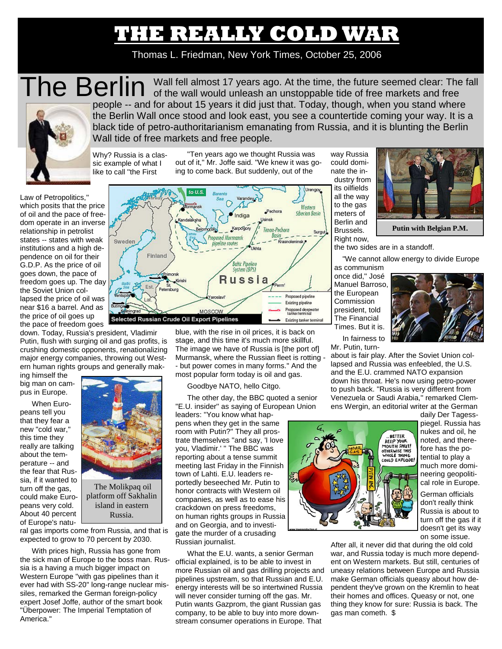## **THE REALLY COLD WAR**

Thomas L. Friedman, New York Times, October 25, 2006

The Berlin Wall fell almost 17 years ago. At the time, the future seemed clear: The fall of the wall would unleash an unstoppable tide of free markets and free

Why? Russia is a classic example of what I like to call ''the First people -- and for about 15 years it did just that. Today, though, when you stand where the Berlin Wall once stood and look east, you see a countertide coming your way. It is a black tide of petro-authoritarianism emanating from Russia, and it is blunting the Berlin Wall tide of free markets and free people.

Law of Petropolitics,'' which posits that the price of oil and the pace of freedom operate in an inverse relationship in petrolist states -- states with weak institutions and a high dependence on oil for their G.D.P. As the price of oil goes down, the pace of freedom goes up. The day the Soviet Union collapsed the price of oil was near \$16 a barrel. And as the price of oil goes up the pace of freedom goes

down. Today, Russia's president, Vladimir Putin, flush with surging oil and gas profits, is crushing domestic opponents, renationalizing major energy companies, throwing out Western human rights groups and generally mak-

ing himself the big man on campus in Europe.

When Europeans tell you that they fear a new ''cold war,'' this time they really are talking about the temperature -- and the fear that Russia, if it wanted to turn off the gas, could make Europeans very cold. About 40 percent of Europe's natu-



 The Molikpaq oil platform off Sakhalin island in eastern Russia.

ral gas imports come from Russia, and that is expected to grow to 70 percent by 2030.

With prices high, Russia has gone from the sick man of Europe to the boss man. Russia is a having a much bigger impact on Western Europe ''with gas pipelines than it ever had with SS-20'' long-range nuclear missiles, remarked the German foreign-policy expert Josef Joffe, author of the smart book ''Überpower: The Imperial Temptation of America.''





blue, with the rise in oil prices, it is back on stage, and this time it's much more skillful. The image we have of Russia is [the port of] Murmansk, where the Russian fleet is rotting - - but power comes in many forms.'' And the most popular form today is oil and gas.

Goodbye NATO, hello Citgo.

The other day, the BBC quoted a senior ''E.U. insider'' as saying of European Union

leaders: ''You know what happens when they get in the same room with Putin?'' They all prostrate themselves ''and say, 'I love you, Vladimir.' '' The BBC was reporting about a tense summit meeting last Friday in the Finnish town of Lahti. E.U. leaders reportedly beseeched Mr. Putin to honor contracts with Western oil companies, as well as to ease his crackdown on press freedoms, on human rights groups in Russia and on Georgia, and to investigate the murder of a crusading Russian journalist.

What the E.U. wants, a senior German official explained, is to be able to invest in more Russian oil and gas drilling projects and pipelines upstream, so that Russian and E.U. energy interests will be so intertwined Russia will never consider turning off the gas. Mr. Putin wants Gazprom, the giant Russian gas company, to be able to buy into more downstream consumer operations in Europe. That

way Russia could dominate the industry from its oilfields all the way to the gas meters of Berlin and Brussels. Right now,



**Putin with Belgian P.M.** 

the two sides are in a standoff.

''We cannot allow energy to divide Europe as communism

once did,'' José Manuel Barroso, the European **Commission** president, told The Financial Times. But it is. In fairness to



Mr. Putin, turn-

about is fair play. After the Soviet Union collapsed and Russia was enfeebled, the U.S. and the E.U. crammed NATO expansion down his throat. He's now using petro-power to push back. ''Russia is very different from Venezuela or Saudi Arabia,'' remarked Clemens Wergin, an editorial writer at the German



daily Der Tagesspiegel. Russia has nukes and oil, he noted, and therefore has the potential to play a much more domineering geopolitical role in Europe.

German officials don't really think Russia is about to turn off the gas if it doesn't get its way on some issue.

After all, it never did that during the old cold war, and Russia today is much more dependent on Western markets. But still, centuries of uneasy relations between Europe and Russia make German officials queasy about how dependent they've grown on the Kremlin to heat their homes and offices. Queasy or not, one thing they know for sure: Russia is back. The gas man cometh. \$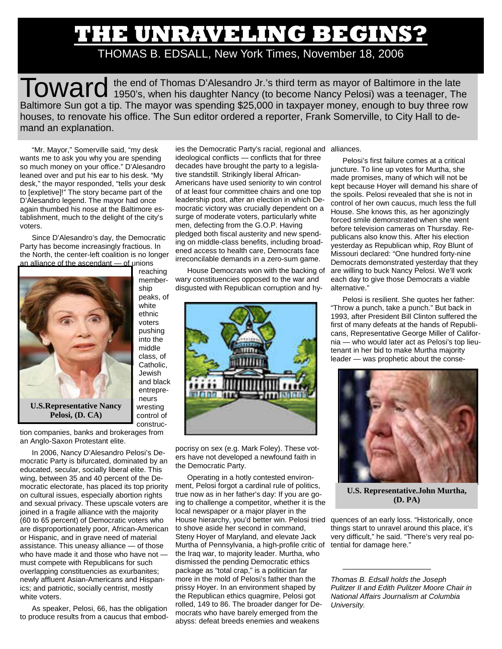## **THE UNRAVELING BEGINS?**

THOMAS B. EDSALL, New York Times, November 18, 2006

Toward the end of Thomas D'Alesandro Jr.'s third term as mayor of Baltimore in the late<br>Toward 1950's, when his daughter Nancy (to become Nancy Pelosi) was a teenager, The Baltimore Sun got a tip. The mayor was spending \$25,000 in taxpayer money, enough to buy three row houses, to renovate his office. The Sun editor ordered a reporter, Frank Somerville, to City Hall to demand an explanation.

"Mr. Mayor," Somerville said, "my desk wants me to ask you why you are spending so much money on your office." D'Alesandro leaned over and put his ear to his desk. "My desk," the mayor responded, "tells your desk to [expletive]!" The story became part of the D'Alesandro legend. The mayor had once again thumbed his nose at the Baltimore establishment, much to the delight of the city's voters.

Since D'Alesandro's day, the Democratic Party has become increasingly fractious. In the North, the center-left coalition is no longer an alliance of the ascendant — of unions



reaching membership peaks, of white ethnic voters pushing into the middle class, of Catholic, Jewish and black entrepreneurs wresting control of construc-

tion companies, banks and brokerages from an Anglo-Saxon Protestant elite.

In 2006, Nancy D'Alesandro Pelosi's Democratic Party is bifurcated, dominated by an educated, secular, socially liberal elite. This wing, between 35 and 40 percent of the Democratic electorate, has placed its top priority on cultural issues, especially abortion rights and sexual privacy. These upscale voters are joined in a fragile alliance with the majority (60 to 65 percent) of Democratic voters who are disproportionately poor, African-American or Hispanic, and in grave need of material assistance. This uneasy alliance — of those who have made it and those who have not must compete with Republicans for such overlapping constituencies as exurbanites; newly affluent Asian-Americans and Hispanics; and patriotic, socially centrist, mostly white voters.

As speaker, Pelosi, 66, has the obligation to produce results from a caucus that embod-

ies the Democratic Party's racial, regional and alliances. ideological conflicts — conflicts that for three decades have brought the party to a legislative standstill. Strikingly liberal African-Americans have used seniority to win control of at least four committee chairs and one top leadership post, after an election in which Democratic victory was crucially dependent on a surge of moderate voters, particularly white men, defecting from the G.O.P. Having pledged both fiscal austerity and new spending on middle-class benefits, including broadened access to health care, Democrats face irreconcilable demands in a zero-sum game.

House Democrats won with the backing of wary constituencies opposed to the war and disgusted with Republican corruption and hy-



pocrisy on sex (e.g. Mark Foley). These voters have not developed a newfound faith in the Democratic Party.

Operating in a hotly contested environment, Pelosi forgot a cardinal rule of politics, true now as in her father's day: If you are going to challenge a competitor, whether it is the local newspaper or a major player in the House hierarchy, you'd better win. Pelosi tried to shove aside her second in command, Steny Hoyer of Maryland, and elevate Jack Murtha of Pennsylvania, a high-profile critic of the Iraq war, to majority leader. Murtha, who dismissed the pending Democratic ethics package as "total crap," is a politician far more in the mold of Pelosi's father than the prissy Hoyer. In an environment shaped by the Republican ethics quagmire, Pelosi got rolled, 149 to 86. The broader danger for Democrats who have barely emerged from the abyss: defeat breeds enemies and weakens

Pelosi's first failure comes at a critical juncture. To line up votes for Murtha, she made promises, many of which will not be kept because Hoyer will demand his share of the spoils. Pelosi revealed that she is not in control of her own caucus, much less the full House. She knows this, as her agonizingly forced smile demonstrated when she went before television cameras on Thursday. Republicans also know this. After his election yesterday as Republican whip, Roy Blunt of Missouri declared: "One hundred forty-nine Democrats demonstrated yesterday that they are willing to buck Nancy Pelosi. We'll work each day to give those Democrats a viable alternative."

Pelosi is resilient. She quotes her father: "Throw a punch, take a punch." But back in 1993, after President Bill Clinton suffered the first of many defeats at the hands of Republicans, Representative George Miller of California — who would later act as Pelosi's top lieutenant in her bid to make Murtha majority leader — was prophetic about the conse-



**U.S. Representative.John Murtha, (D. PA)** 

quences of an early loss. "Historically, once things start to unravel around this place, it's very difficult," he said. "There's very real potential for damage here."

*Thomas B. Edsall holds the Joseph Pulitzer II and Edith Pulitzer Moore Chair in National Affairs Journalism at Columbia University.* 

————————————